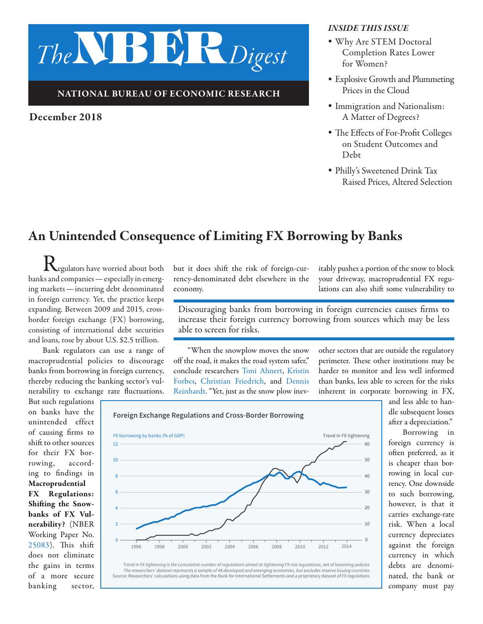# *The*NBER*Digest*

#### NATIONAL BUREAU OF ECONOMIC RESEARCH

#### December 2018

#### *INSIDE THIS ISSUE*

- *•* Why Are STEM Doctoral Completion Rates Lower for Women?
- *•* Explosive Growth and Plummeting Prices in the Cloud
- *•* Immigration and Nationalism: A Matter of Degrees?
- *•* The Effects of For-Profit Colleges on Student Outcomes and Debt
- *•* Philly's Sweetened Drink Tax Raised Prices, Altered Selection

# An Unintended Consequence of Limiting FX Borrowing by Banks

 $\mathbf{K}_{\text{egulators}}$  have worried about both banks and companies—especially in emerging markets—incurring debt denominated in foreign currency. Yet, the practice keeps expanding. Between 2009 and 2015, crossborder foreign exchange (FX) borrowing, consisting of international debt securities and loans, rose by about U.S. \$2.5 trillion.

Bank regulators can use a range of macroprudential policies to discourage banks from borrowing in foreign currency, thereby reducing the banking sector's vulnerability to exchange rate fluctuations.

But such regulations on banks have the unintended effect of causing firms to shift to other sources for their FX borrowing, according to findings in Macroprudential FX Regulations: Shifting the Snowbanks of FX Vulnerability? (NBER Working Paper No. [25083\)](http://www.nber.org/papers/w25083). This shift does not eliminate the gains in terms of a more secure banking sector, but it does shift the risk of foreign-currency-denominated debt elsewhere in the economy.

itably pushes a portion of the snow to block your driveway, macroprudential FX regulations can also shift some vulnerability to

Discouraging banks from borrowing in foreign currencies causes firms to increase their foreign currency borrowing from sources which may be less able to screen for risks.

"When the snowplow moves the snow off the road, it makes the road system safer," conclude researchers [Toni Ahnert](http://www.nber.org/people/toniahnert), [Kristin](http://www.nber.org/people/kristin_forbes)  [Forbes,](http://www.nber.org/people/kristin_forbes) [Christian Friedrich,](http://www.nber.org/people/christian_friedrich) and [Dennis](http://www.nber.org/people/DennisReinhardt)  [Reinhardt](http://www.nber.org/people/DennisReinhardt). "Yet, just as the snow plow inevother sectors that are outside the regulatory perimeter. These other institutions may be harder to monitor and less well informed than banks, less able to screen for the risks inherent in corporate borrowing in FX,





and less able to handle subsequent losses after a depreciation."

Borrowing in foreign currency is often preferred, as it is cheaper than borrowing in local currency. One downside to such borrowing, however, is that it carries exchange-rate risk. When a local currency depreciates against the foreign currency in which debts are denominated, the bank or company must pay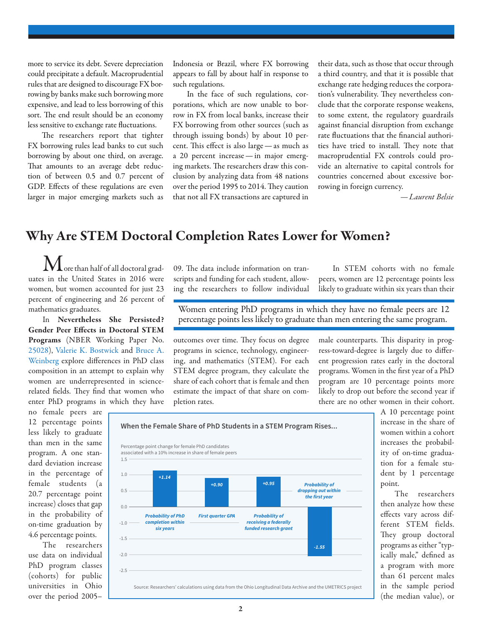more to service its debt. Severe depreciation could precipitate a default. Macroprudential rules that are designed to discourage FX borrowing by banks make such borrowing more expensive, and lead to less borrowing of this sort. The end result should be an economy less sensitive to exchange rate fluctuations.

The researchers report that tighter FX borrowing rules lead banks to cut such borrowing by about one third, on average. That amounts to an average debt reduction of between 0.5 and 0.7 percent of GDP. Effects of these regulations are even larger in major emerging markets such as

Indonesia or Brazil, where FX borrowing appears to fall by about half in response to such regulations.

In the face of such regulations, corporations, which are now unable to borrow in FX from local banks, increase their FX borrowing from other sources (such as through issuing bonds) by about 10 percent. This effect is also large—as much as a 20 percent increase—in major emerging markets. The researchers draw this conclusion by analyzing data from 48 nations over the period 1995 to 2014. They caution that not all FX transactions are captured in

their data, such as those that occur through a third country, and that it is possible that exchange rate hedging reduces the corporation's vulnerability. They nevertheless conclude that the corporate response weakens, to some extent, the regulatory guardrails against financial disruption from exchange rate fluctuations that the financial authorities have tried to install. They note that macroprudential FX controls could provide an alternative to capital controls for countries concerned about excessive borrowing in foreign currency.

*—Laurent Belsie* 

# Why Are STEM Doctoral Completion Rates Lower for Women?

 $\mathbf M$ ore than half of all doctoral graduates in the United States in 2016 were women, but women accounted for just 23 percent of engineering and 26 percent of mathematics graduates.

In Nevertheless She Persisted? Gender Peer Effects in Doctoral STEM Programs (NBER Working Paper No. [25028\)](http://www.nber.org/papers/w25028), [Valerie K. Bostwick](http://www.nber.org/people/vkbostwick) and [Bruce A.](http://www.nber.org/people/bruce_weinberg)  [Weinberg](http://www.nber.org/people/bruce_weinberg) explore differences in PhD class composition in an attempt to explain why women are underrepresented in sciencerelated fields. They find that women who enter PhD programs in which they have

no female peers are 12 percentage points less likely to graduate than men in the same program. A one standard deviation increase in the percentage of female students (a 20.7 percentage point increase) closes that gap in the probability of on-time graduation by 4.6 percentage points.

The researchers use data on individual PhD program classes (cohorts) for public universities in Ohio over the period 2005–

09. The data include information on transcripts and funding for each student, allowing the researchers to follow individual

In STEM cohorts with no female peers, women are 12 percentage points less likely to graduate within six years than their

Women entering PhD programs in which they have no female peers are 12 percentage points less likely to graduate than men entering the same program.

outcomes over time. They focus on degree programs in science, technology, engineering, and mathematics (STEM). For each STEM degree program, they calculate the share of each cohort that is female and then estimate the impact of that share on completion rates.

male counterparts. This disparity in progress-toward-degree is largely due to different progression rates early in the doctoral programs. Women in the first year of a PhD program are 10 percentage points more likely to drop out before the second year if there are no other women in their cohort.



A 10 percentage point increase in the share of women within a cohort increases the probability of on-time graduation for a female student by 1 percentage point.

The researchers then analyze how these effects vary across different STEM fields. They group doctoral programs as either "typically male," defined as a program with more than 61 percent males in the sample period (the median value), or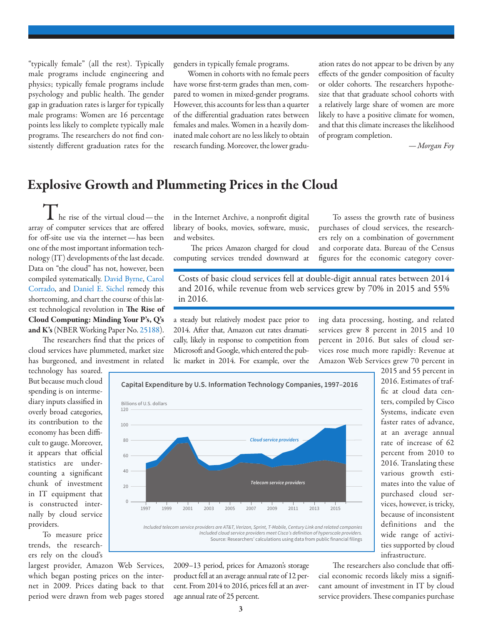"typically female" (all the rest). Typically male programs include engineering and physics; typically female programs include psychology and public health. The gender gap in graduation rates is larger for typically male programs: Women are 16 percentage points less likely to complete typically male programs. The researchers do not find consistently different graduation rates for the genders in typically female programs.

Women in cohorts with no female peers have worse first-term grades than men, compared to women in mixed-gender programs. However, this accounts for less than a quarter of the differential graduation rates between females and males. Women in a heavily dominated male cohort are no less likely to obtain research funding. Moreover, the lower graduation rates do not appear to be driven by any effects of the gender composition of faculty or older cohorts. The researchers hypothesize that that graduate school cohorts with a relatively large share of women are more likely to have a positive climate for women, and that this climate increases the likelihood of program completion.

*—Morgan Foy* 

## Explosive Growth and Plummeting Prices in the Cloud

 $\mathbf I$  he rise of the virtual cloud—the array of computer services that are offered for off-site use via the internet—has been one of the most important information technology (IT) developments of the last decade. Data on "the cloud" has not, however, been compiled systematically. [David Byrne](https://www.nber.org/people/david_byrne), [Carol](https://www.nber.org/people/carol_corrado)  [Corrado](https://www.nber.org/people/carol_corrado), and [Daniel E. Sichel](https://www.nber.org/people/daniel_sichel) remedy this shortcoming, and chart the course of this latest technological revolution in The Rise of Cloud Computing: Minding Your P's, Q's and K's (NBER Working Paper No. [25188](https://www.nber.org/papers/w25188)).

The researchers find that the prices of cloud services have plummeted, market size has burgeoned, and investment in related

technology has soared. But because much cloud spending is on intermediary inputs classified in overly broad categories, its contribution to the economy has been difficult to gauge. Moreover, it appears that official statistics are undercounting a significant chunk of investment in IT equipment that is constructed internally by cloud service providers.

To measure price trends, the researchers rely on the cloud's

largest provider, Amazon Web Services, which began posting prices on the internet in 2009. Prices dating back to that period were drawn from web pages stored

in the Internet Archive, a nonprofit digital library of books, movies, software, music, and websites.

 The prices Amazon charged for cloud computing services trended downward at

To assess the growth rate of business purchases of cloud services, the researchers rely on a combination of government and corporate data. Bureau of the Census figures for the economic category cover-

Costs of basic cloud services fell at double-digit annual rates between 2014 and 2016, while revenue from web services grew by 70% in 2015 and 55% in 2016.

a steady but relatively modest pace prior to 2014. After that, Amazon cut rates dramatically, likely in response to competition from Microsoft and Google, which entered the public market in 2014. For example, over the ing data processing, hosting, and related services grew 8 percent in 2015 and 10 percent in 2016. But sales of cloud services rose much more rapidly: Revenue at Amazon Web Services grew 70 percent in



Included telecom service providers are AT&T, Verizon, Sprint, T-Mobile, Century Link and related companies Included cloud service providers meet Cisco's definition of hyperscale providers. Source: Researchers' calculations using data from public financial filings

2009–13 period, prices for Amazon's storage product fell at an average annual rate of 12 percent. From 2014 to 2016, prices fell at an average annual rate of 25 percent.

2015 and 55 percent in 2016. Estimates of traffic at cloud data centers, compiled by Cisco Systems, indicate even faster rates of advance, at an average annual rate of increase of 62 percent from 2010 to 2016. Translating these various growth estimates into the value of purchased cloud services, however, is tricky, because of inconsistent definitions and the wide range of activities supported by cloud infrastructure.

The researchers also conclude that official economic records likely miss a significant amount of investment in IT by cloud service providers. These companies purchase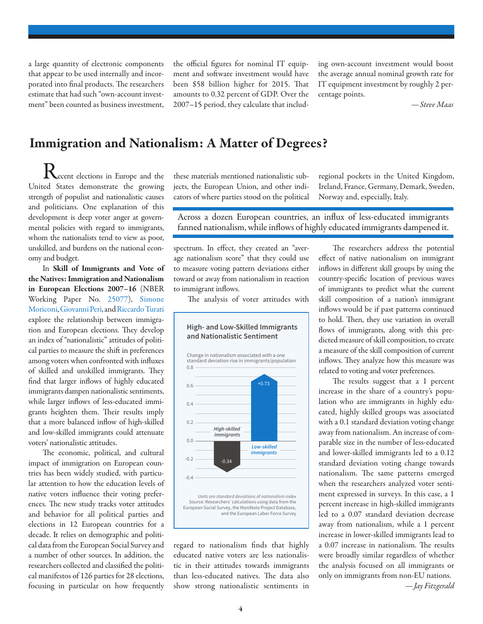a large quantity of electronic components that appear to be used internally and incorporated into final products. The researchers estimate that had such "own-account investment" been counted as business investment, the official figures for nominal IT equipment and software investment would have been \$58 billion higher for 2015. That amounts to 0.32 percent of GDP. Over the 2007–15 period, they calculate that includ-

ing own-account investment would boost the average annual nominal growth rate for IT equipment investment by roughly 2 percentage points.

*—Steve Maas*

## Immigration and Nationalism: A Matter of Degrees?

**K**ecent elections in Europe and the United States demonstrate the growing strength of populist and nationalistic causes and politicians. One explanation of this development is deep voter anger at governmental policies with regard to immigrants, whom the nationalists tend to view as poor, unskilled, and burdens on the national economy and budget.

In Skill of Immigrants and Vote of the Natives: Immigration and Nationalism in European Elections 2007–16 (NBER Working Paper No. [25077](http://www.nber.org/papers/w25077)), [Simone](http://www.nber.org/people/simone_moriconi)  [Moriconi,](http://www.nber.org/people/simone_moriconi) [Giovanni Peri](http://www.nber.org/people/giovanni_peri), and [Riccardo Turati](http://www.nber.org/people/riccardo_turati) explore the relationship between immigration and European elections. They develop an index of "nationalistic" attitudes of political parties to measure the shift in preferences among voters when confronted with influxes of skilled and unskilled immigrants. They find that larger inflows of highly educated immigrants dampen nationalistic sentiments, while larger inflows of less-educated immigrants heighten them. Their results imply that a more balanced inflow of high-skilled and low-skilled immigrants could attenuate voters' nationalistic attitudes.

The economic, political, and cultural impact of immigration on European countries has been widely studied, with particular attention to how the education levels of native voters influence their voting preferences. The new study tracks voter attitudes and behavior for all political parties and elections in 12 European countries for a decade. It relies on demographic and political data from the European Social Survey and a number of other sources. In addition, the researchers collected and classified the political manifestos of 126 parties for 28 elections, focusing in particular on how frequently

these materials mentioned nationalistic subjects, the European Union, and other indicators of where parties stood on the political

regional pockets in the United Kingdom, Ireland, France, Germany, Demark, Sweden, Norway and, especially, Italy.

Across a dozen European countries, an influx of less-educated immigrants fanned nationalism, while inflows of highly educated immigrants dampened it.

spectrum. In effect, they created an "average nationalism score" that they could use to measure voting pattern deviations either toward or away from nationalism in reaction to immigrant inflows.

The analysis of voter attitudes with

**High- and Low-Skilled Immigrants**



regard to nationalism finds that highly educated native voters are less nationalistic in their attitudes towards immigrants than less-educated natives. The data also show strong nationalistic sentiments in

The researchers address the potential effect of native nationalism on immigrant inflows in different skill groups by using the country-specific location of previous waves of immigrants to predict what the current skill composition of a nation's immigrant inflows would be if past patterns continued to hold. Then, they use variation in overall flows of immigrants, along with this predicted measure of skill composition, to create a measure of the skill composition of current inflows. They analyze how this measure was related to voting and voter preferences.

The results suggest that a 1 percent increase in the share of a country's population who are immigrants in highly educated, highly skilled groups was associated with a 0.1 standard deviation voting change away from nationalism. An increase of comparable size in the number of less-educated and lower-skilled immigrants led to a 0.12 standard deviation voting change towards nationalism. The same patterns emerged when the researchers analyzed voter sentiment expressed in surveys. In this case, a 1 percent increase in high-skilled immigrants led to a 0.07 standard deviation decrease away from nationalism, while a 1 percent increase in lower-skilled immigrants lead to a 0.07 increase in nationalism. The results were broadly similar regardless of whether the analysis focused on all immigrants or only on immigrants from non-EU nations. *—Jay Fitzgerald*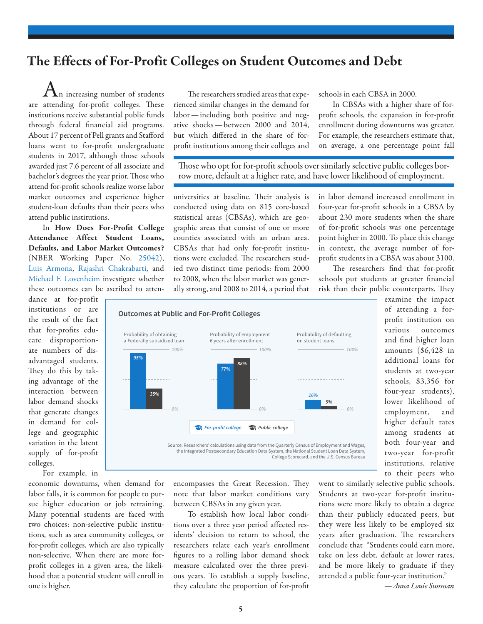## The Effects of For-Profit Colleges on Student Outcomes and Debt

 $\sum$ n increasing number of students are attending for-profit colleges. These institutions receive substantial public funds through federal financial aid programs. About 17 percent of Pell grants and Stafford loans went to for-profit undergraduate students in 2017, although those schools awarded just 7.6 percent of all associate and bachelor's degrees the year prior. Those who attend for-profit schools realize worse labor market outcomes and experience higher student-loan defaults than their peers who attend public institutions.

In How Does For-Profit College Attendance Affect Student Loans, Defaults, and Labor Market Outcomes? (NBER Working Paper No. [25042](http://www.nber.org/papers/w25042)), [Luis Armona,](http://www.nber.org/people/luis_armona) [Rajashri Chakrabarti,](http://www.nber.org/people/rajashri_chakrabarti) and [Michael F. Lovenheim](http://www.nber.org/people/michael_lovenheim) investigate whether these outcomes can be ascribed to atten-

dance at for-profit institutions or are the result of the fact that for-profits educate disproportionate numbers of disadvantaged students. They do this by taking advantage of the interaction between labor demand shocks that generate changes in demand for college and geographic variation in the latent supply of for-profit colleges.

For example, in

economic downturns, when demand for labor falls, it is common for people to pursue higher education or job retraining. Many potential students are faced with two choices: non-selective public institutions, such as area community colleges, or for-profit colleges, which are also typically non-selective. When there are more forprofit colleges in a given area, the likelihood that a potential student will enroll in one is higher.

The researchers studied areas that experienced similar changes in the demand for labor—including both positive and negative shocks—between 2000 and 2014, but which differed in the share of forprofit institutions among their colleges and schools in each CBSA in 2000.

In CBSAs with a higher share of forprofit schools, the expansion in for-profit enrollment during downturns was greater. For example, the researchers estimate that, on average, a one percentage point fall

Those who opt for for-profit schools over similarly selective public colleges borrow more, default at a higher rate, and have lower likelihood of employment.

universities at baseline. Their analysis is conducted using data on 815 core-based statistical areas (CBSAs), which are geographic areas that consist of one or more counties associated with an urban area. CBSAs that had only for-profit institutions were excluded. The researchers studied two distinct time periods: from 2000 to 2008, when the labor market was generally strong, and 2008 to 2014, a period that in labor demand increased enrollment in four-year for-profit schools in a CBSA by about 230 more students when the share of for-profit schools was one percentage point higher in 2000. To place this change in context, the average number of forprofit students in a CBSA was about 3100.

The researchers find that for-profit schools put students at greater financial risk than their public counterparts. They



examine the impact of attending a forprofit institution on various outcomes and find higher loan amounts (\$6,428 in additional loans for students at two-year schools, \$3,356 for four-year students), lower likelihood of employment, and higher default rates among students at both four-year and two-year for-profit institutions, relative to their peers who

encompasses the Great Recession. They note that labor market conditions vary between CBSAs in any given year.

To establish how local labor conditions over a three year period affected residents' decision to return to school, the researchers relate each year's enrollment figures to a rolling labor demand shock measure calculated over the three previous years. To establish a supply baseline, they calculate the proportion of for-profit

went to similarly selective public schools. Students at two-year for-profit institutions were more likely to obtain a degree than their publicly educated peers, but they were less likely to be employed six years after graduation. The researchers conclude that "Students could earn more, take on less debt, default at lower rates, and be more likely to graduate if they attended a public four-year institution."

*—Anna Louie Sussman*